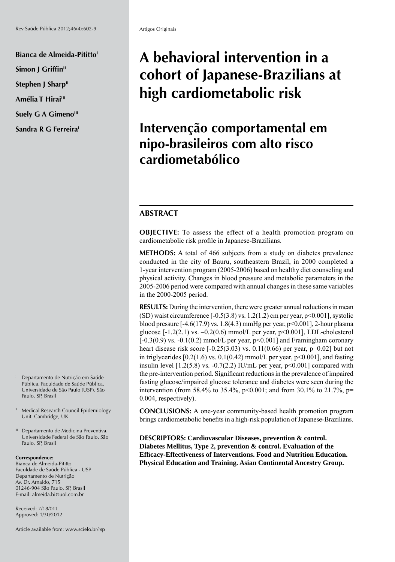**Bianca de Almeida-Pititto<sup>1</sup> Simon I Griffin<sup>II</sup> Stephen J Sharp**<sup>II</sup> Amélia T Hirai<sup>III</sup> **Suely G A Gimeno<sup>III</sup>** Sandra R G Ferreira<sup>1</sup>

I Departamento de Nutrição em Saúde Pública. Faculdade de Saúde Pública. Universidade de São Paulo (USP). São Paulo, SP, Brasil

- <sup>II</sup> Medical Research Council Epidemiology Unit. Cambridge, UK
- <sup>III</sup> Departamento de Medicina Preventiva. Universidade Federal de São Paulo. São Paulo, SP, Brasil

#### **Correspondence:**

Bianca de Almeida-Pititto Faculdade de Saúde Pública - USP Departamento de Nutrição Av. Dr. Arnaldo, 715 01246-904 São Paulo, SP, Brasil E-mail: almeida.bi@uol.com.br

Received: 7/18/011 Approved: 1/30/2012

Article available from: www.scielo.br/rsp

# **A behavioral intervention in a cohort of Japanese-Brazilians at high cardiometabolic risk**

# **Intervenção comportamental em nipo-brasileiros com alto risco cardiometabólico**

# **ABSTRACT**

**OBJECTIVE:** To assess the effect of a health promotion program on cardiometabolic risk profile in Japanese-Brazilians.

**METHODS:** A total of 466 subjects from a study on diabetes prevalence conducted in the city of Bauru, southeastern Brazil, in 2000 completed a 1-year intervention program (2005-2006) based on healthy diet counseling and physical activity. Changes in blood pressure and metabolic parameters in the 2005-2006 period were compared with annual changes in these same variables in the 2000-2005 period.

**RESULTS:** During the intervention, there were greater annual reductions in mean (SD) waist circumference  $[-0.5(3.8) \text{ vs. } 1.2(1.2) \text{ cm}$  per year,  $p \le 0.001$ , systolic blood pressure [-4.6(17.9) vs. 1.8(4.3) mmHg per year, p<0.001], 2-hour plasma glucose  $[-1.2(2.1)$  vs.  $-0.2(0.6)$  mmol/L per year,  $p<0.001$ ], LDL-cholesterol [-0.3(0.9) vs. -0.1(0.2) mmol/L per year,  $p$ <0.001] and Framingham coronary heart disease risk score  $[-0.25(3.03) \text{ vs. } 0.11(0.66) \text{ per year}, p=0.02]$  but not in triglycerides  $[0.2(1.6)$  vs.  $0.1(0.42)$  mmol/L per year,  $p<0.001$ , and fasting insulin level  $[1.2(5.8)$  vs.  $-0.7(2.2)$  IU/mL per year,  $p<0.001$  compared with the pre-intervention period. Significant reductions in the prevalence of impaired fasting glucose/impaired glucose tolerance and diabetes were seen during the intervention (from 58.4% to 35.4%,  $p<0.001$ ; and from 30.1% to 21.7%,  $p=$ 0.004, respectively).

**CONCLUSIONS:** A one-year community-based health promotion program brings cardiometabolic benefits in a high-risk population of Japanese-Brazilians.

**DESCRIPTORS: Cardiovascular Diseases, prevention & control. Diabetes Mellitus, Type 2, prevention & control. Evaluation of the Effi cacy-Effectiveness of Interventions. Food and Nutrition Education. Physical Education and Training. Asian Continental Ancestry Group.**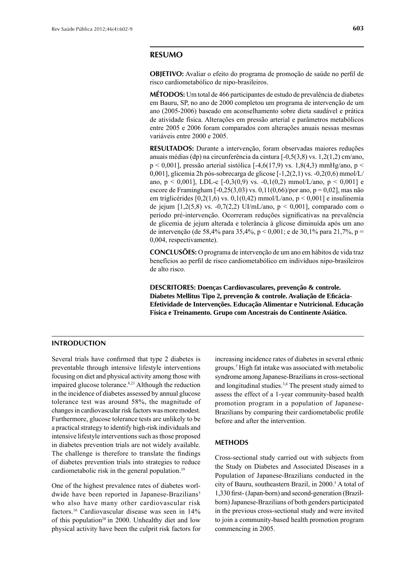#### **RESUMO**

**OBJETIVO:** Avaliar o efeito do programa de promoção de saúde no perfi l de risco cardiometabólico de nipo-brasileiros.

**MÉTODOS:** Um total de 466 participantes de estudo de prevalência de diabetes em Bauru, SP, no ano de 2000 completou um programa de intervenção de um ano (2005-2006) baseado em aconselhamento sobre dieta saudável e prática de atividade física. Alterações em pressão arterial e parâmetros metabólicos entre 2005 e 2006 foram comparados com alterações anuais nessas mesmas variáveis entre 2000 e 2005.

**RESULTADOS:** Durante a intervenção, foram observadas maiores reduções anuais médias (dp) na circunferência da cintura [-0,5(3,8) vs. 1,2(1,2) cm/ano,  $p < 0.001$ ], pressão arterial sistólica [-4,6(17,9) vs. 1,8(4,3) mmHg/ano,  $p <$ 0,001], glicemia 2h pós-sobrecarga de glicose [-1,2(2,1) vs. -0,2(0,6) mmol/L/ ano,  $p < 0.001$ ], LDL-c  $[-0.3(0.9)$  vs.  $-0.1(0.2)$  mmol/L/ano,  $p < 0.001$ ] e escore de Framingham  $[-0,25(3,03) \text{ vs. } 0,11(0,66)/\text{por ano}, p = 0,02]$ , mas não em triglicérides  $[0,2(1,6)$  vs.  $0,1(0,42)$  mmol/L/ano,  $p < 0,001$ ] e insulinemia de jejum  $[1,2(5,8)$  vs.  $-0,7(2,2)$  UI/mL/ano,  $p < 0,001$ ], comparado com o período pré-intervenção. Ocorreram reduções significativas na prevalência de glicemia de jejum alterada e tolerância à glicose diminuída após um ano de intervenção (de 58,4% para 35,4%, p < 0,001; e de 30,1% para 21,7%, p = 0,004, respectivamente).

**CONCLUSÕES:** O programa de intervenção de um ano em hábitos de vida traz benefícios ao perfil de risco cardiometabólico em indivíduos nipo-brasileiros de alto risco.

**DESCRITORES: Doenças Cardiovasculares, prevenção & controle. Diabetes Mellitus Tipo 2, prevenção & controle. Avaliação de Efi cácia-Efetividade de Intervenções. Educação Alimentar e Nutricional. Educação Física e Treinamento. Grupo com Ancestrais do Continente Asiático.**

## **INTRODUCTION**

Several trials have confirmed that type 2 diabetes is preventable through intensive lifestyle interventions focusing on diet and physical activity among those with impaired glucose tolerance.8,21 Although the reduction in the incidence of diabetes assessed by annual glucose tolerance test was around 58%, the magnitude of changes in cardiovascular risk factors was more modest. Furthermore, glucose tolerance tests are unlikely to be a practical strategy to identify high-risk individuals and intensive lifestyle interventions such as those proposed in diabetes prevention trials are not widely available. The challenge is therefore to translate the findings of diabetes prevention trials into strategies to reduce cardiometabolic risk in the general population.<sup>19</sup>

One of the highest prevalence rates of diabetes worldwide have been reported in Japanese-Brazilians<sup>5</sup> who also have many other cardiovascular risk factors.16 Cardiovascular disease was seen in 14% of this population<sup>20</sup> in 2000. Unhealthy diet and low physical activity have been the culprit risk factors for

increasing incidence rates of diabetes in several ethnic groups.7 High fat intake was associated with metabolic syndrome among Japanese-Brazilians in cross-sectional and longitudinal studies.3,4 The present study aimed to assess the effect of a 1-year community-based health promotion program in a population of Japanese-Brazilians by comparing their cardiometabolic profile before and after the intervention.

#### **METHODS**

Cross-sectional study carried out with subjects from the Study on Diabetes and Associated Diseases in a Population of Japanese-Brazilians conducted in the city of Bauru, southeastern Brazil, in 2000.<sup>5</sup> A total of 1,330 first- (Japan-born) and second-generation (Brazilborn) Japanese-Brazilians of both genders participated in the previous cross-sectional study and were invited to join a community-based health promotion program commencing in 2005.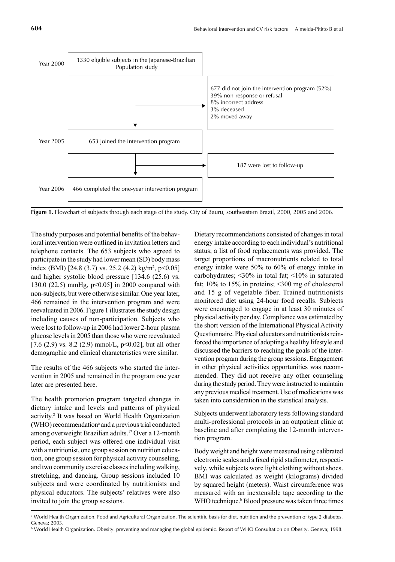

**Figure 1.** Flowchart of subjects through each stage of the study. City of Bauru, southeastern Brazil, 2000, 2005 and 2006.

The study purposes and potential benefits of the behavioral intervention were outlined in invitation letters and telephone contacts. The 653 subjects who agreed to participate in the study had lower mean (SD) body mass index (BMI) [24.8 (3.7) vs. 25.2 (4.2) kg/m<sup>2</sup>, p<0.05] and higher systolic blood pressure [134.6 (25.6) vs. 130.0 (22.5) mmHg, p<0.05] in 2000 compared with non-subjects, but were otherwise similar. One year later, 466 remained in the intervention program and were reevaluated in 2006. Figure 1 illustrates the study design including causes of non-participation. Subjects who were lost to follow-up in 2006 had lower 2-hour plasma glucose levels in 2005 than those who were reevaluated [7.6 (2.9) vs. 8.2 (2.9) mmol/L,  $p<0.02$ ], but all other demographic and clinical characteristics were similar.

The results of the 466 subjects who started the intervention in 2005 and remained in the program one year later are presented here.

The health promotion program targeted changes in dietary intake and levels and patterns of physical activity.<sup>2</sup> It was based on World Health Organization (WHO) recommendation<sup>a</sup> and a previous trial conducted among overweight Brazilian adults.17 Over a 12-month period, each subject was offered one individual visit with a nutritionist, one group session on nutrition education, one group session for physical activity counseling, and two community exercise classes including walking, stretching, and dancing. Group sessions included 10 subjects and were coordinated by nutritionists and physical educators. The subjects' relatives were also invited to join the group sessions.

Dietary recommendations consisted of changes in total energy intake according to each individual's nutritional status; a list of food replacements was provided. The target proportions of macronutrients related to total energy intake were 50% to 60% of energy intake in carbohydrates; <30% in total fat; <10% in saturated fat; 10% to 15% in proteins; <300 mg of cholesterol and 15 g of vegetable fiber. Trained nutritionists monitored diet using 24-hour food recalls. Subjects were encouraged to engage in at least 30 minutes of physical activity per day. Compliance was estimated by the short version of the International Physical Activity Questionnaire. Physical educators and nutritionists reinforced the importance of adopting a healthy lifestyle and discussed the barriers to reaching the goals of the intervention program during the group sessions. Engagement in other physical activities opportunities was recommended. They did not receive any other counseling during the study period. They were instructed to maintain any previous medical treatment. Use of medications was taken into consideration in the statistical analysis.

Subjects underwent laboratory tests following standard multi-professional protocols in an outpatient clinic at baseline and after completing the 12-month intervention program.

Body weight and height were measured using calibrated electronic scales and a fixed rigid stadiometer, respectively, while subjects wore light clothing without shoes. BMI was calculated as weight (kilograms) divided by squared height (meters). Waist circumference was measured with an inextensible tape according to the WHO technique.<sup>b</sup> Blood pressure was taken three times

<sup>&</sup>lt;sup>a</sup> World Health Organization. Food and Agricultural Organization. The scientific basis for diet, nutrition and the prevention of type 2 diabetes. Geneva; 2003.

b World Health Organization. Obesity: preventing and managing the global epidemic. Report of WHO Consultation on Obesity. Geneva; 1998.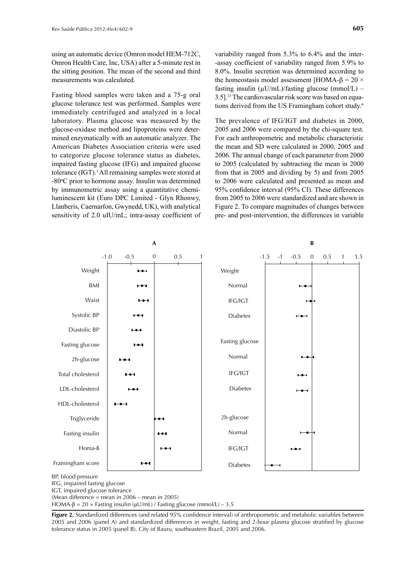using an automatic device (Omron model HEM-712C, Omron Health Care, Inc, USA) after a 5-minute rest in the sitting position. The mean of the second and third measurements was calculated.

Fasting blood samples were taken and a 75-g oral glucose tolerance test was performed. Samples were immediately centrifuged and analyzed in a local laboratory. Plasma glucose was measured by the glucose-oxidase method and lipoproteins were determined enzymatically with an automatic analyzer. The American Diabetes Association criteria were used to categorize glucose tolerance status as diabetes, impaired fasting glucose (IFG) and impaired glucose tolerance (IGT).<sup>1</sup> All remaining samples were stored at -80°C prior to hormone assay. Insulin was determined by immunometric assay using a quantitative chemiluminescent kit (Euro DPC Limited - Glyn Rhonwy, Llanberis, Caernarfon, Gwynedd, UK), with analytical sensitivity of 2.0 uIU/mL; intra-assay coefficient of

variability ranged from 5.3% to 6.4% and the inter- -assay coefficient of variability ranged from 5.9% to 8.0%. Insulin secretion was determined according to the homeostasis model assessment [HOMA- $\beta$  = 20  $\times$ fasting insulin  $(\mu U/mL)/fasting glucose (mmol/L)$  – 3.5].13 The cardiovascular risk score was based on equations derived from the US Framingham cohort study.<sup>6</sup>

The prevalence of IFG/IGT and diabetes in 2000, 2005 and 2006 were compared by the chi-square test. For each anthropometric and metabolic characteristic the mean and SD were calculated in 2000, 2005 and 2006. The annual change of each parameter from 2000 to 2005 (calculated by subtracting the mean in 2000 from that in 2005 and dividing by 5) and from 2005 to 2006 were calculated and presented as mean and 95% confidence interval (95% CI). These differences from 2005 to 2006 were standardized and are shown in Figure 2. To compare magnitudes of changes between pre- and post-intervention, the differences in variable



IFG, impaired fasting glucose

IGT, impaired glucose tolerance

(Mean difference = mean in 2006 – mean in 2005)

HOMA-β =  $20 \times$  Fasting insulin (μU/mL) / Fasting glucose (mmol/L) – 3.5

Figure 2. Standardized differences (and related 95% confidence interval) of anthropometric and metabolic variables between 2005 and 2006 (panel A) and standardized differences in weight, fasting and 2-hour plasma glucose stratified by glucose tolerance status in 2005 (panel B). City of Bauru, southeastern Brazil, 2005 and 2006.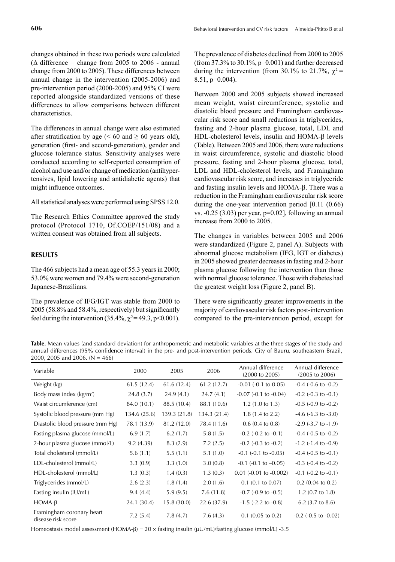changes obtained in these two periods were calculated  $(\Delta \text{ difference} = \text{change from } 2005 \text{ to } 2006 - \text{annual})$ change from 2000 to 2005). These differences between annual change in the intervention (2005-2006) and pre-intervention period (2000-2005) and 95% CI were reported alongside standardized versions of these differences to allow comparisons between different characteristics.

The differences in annual change were also estimated after stratification by age (< 60 and  $\geq$  60 years old), generation (first- and second-generation), gender and glucose tolerance status. Sensitivity analyses were conducted according to self-reported consumption of alcohol and use and/or change of medication (antihypertensives, lipid lowering and antidiabetic agents) that might influence outcomes.

All statistical analyses were performed using SPSS 12.0.

The Research Ethics Committee approved the study protocol (Protocol 1710, Of.COEP/151/08) and a written consent was obtained from all subjects.

#### **RESULTS**

The 466 subjects had a mean age of 55.3 years in 2000; 53.0% were women and 79.4% were second-generation Japanese-Brazilians.

The prevalence of IFG/IGT was stable from 2000 to  $2005$  (58.8% and 58.4%, respectively) but significantly feel during the intervention (35.4%,  $\chi^2$  = 49.3, p<0.001). The prevalence of diabetes declined from 2000 to 2005 (from  $37.3\%$  to  $30.1\%$ ,  $p=0.001$ ) and further decreased during the intervention (from 30.1% to 21.7%,  $\chi^2$  = 8.51, p=0.004).

Between 2000 and 2005 subjects showed increased mean weight, waist circumference, systolic and diastolic blood pressure and Framingham cardiovascular risk score and small reductions in triglycerides, fasting and 2-hour plasma glucose, total, LDL and  $HDL-cholesterol levels$ , insulin and  $HOMA-B$  levels (Table). Between 2005 and 2006, there were reductions in waist circumference, systolic and diastolic blood pressure, fasting and 2-hour plasma glucose, total, LDL and HDL-cholesterol levels, and Framingham cardiovascular risk score, and increases in triglyceride and fasting insulin levels and  $HOMA-\beta$ . There was a reduction in the Framingham cardiovascular risk score during the one-year intervention period [0.11 (0.66) vs.  $-0.25$  (3.03) per year, p=0.02], following an annual increase from 2000 to 2005.

The changes in variables between 2005 and 2006 were standardized (Figure 2, panel A). Subjects with abnormal glucose metabolism (IFG, IGT or diabetes) in 2005 showed greater decreases in fasting and 2-hour plasma glucose following the intervention than those with normal glucose tolerance. Those with diabetes had the greatest weight loss (Figure 2, panel B).

There were significantly greater improvements in the majority of cardiovascular risk factors post-intervention compared to the pre-intervention period, except for

**Table.** Mean values (and standard deviation) for anthropometric and metabolic variables at the three stages of the study and annual differences (95% confidence interval) in the pre- and post-intervention periods. City of Bauru, southeastern Brazil, 2000, 2005 and 2006. ( $N = 466$ )

| Variable                                        | 2000         | 2005         | 2006         | Annual difference<br>$(2000 \text{ to } 2005)$ | Annual difference<br>$(2005 \text{ to } 2006)$ |
|-------------------------------------------------|--------------|--------------|--------------|------------------------------------------------|------------------------------------------------|
| Weight (kg)                                     | 61.5(12.4)   | 61.6(12.4)   | 61.2(12.7)   | $-0.01$ $(-0.1 \text{ to } 0.05)$              | $-0.4$ $(-0.6$ to $-0.2)$                      |
| Body mass index $(kg/m2)$                       | 24.8(3.7)    | 24.9(4.1)    | 24.7(4.1)    | $-0.07$ $(-0.1$ to $-0.04)$                    | $-0.2$ $(-0.3$ to $-0.1)$                      |
| Waist circumference (cm)                        | 84.0 (10.1)  | 88.5 (10.4)  | 88.1 (10.6)  | $1.2(1.0 \text{ to } 1.3)$                     | $-0.5$ $(-0.9$ to $-0.2)$                      |
| Systolic blood pressure (mm Hg)                 | 134.6 (25.6) | 139.3 (21.8) | 134.3 (21.4) | $1.8(1.4 \text{ to } 2.2)$                     | $-4.6$ ( $-6.3$ to $-3.0$ )                    |
| Diastolic blood pressure (mm Hg)                | 78.1 (13.9)  | 81.2 (12.0)  | 78.4 (11.6)  | $0.6(0.4 \text{ to } 0.8)$                     | $-2.9$ $(-3.7$ to $-1.9$ )                     |
| Fasting plasma glucose (mmol/L)                 | 6.9(1.7)     | 6.2(1.7)     | 5.8(1.5)     | $-0.2$ ( $-0.2$ to $-0.1$ )                    | $-0.4$ $(-0.5$ to $-0.2)$                      |
| 2-hour plasma glucose (mmol/L)                  | 9.2(4.39)    | 8.3(2.9)     | 7.2(2.5)     | $-0.2$ ( $-0.3$ to $-0.2$ )                    | $-1.2$ ( $-1.4$ to $-0.9$ )                    |
| Total cholesterol (mmol/L)                      | 5.6(1.1)     | 5.5(1.1)     | 5.1(1.0)     | $-0.1$ $(-0.1$ to $-0.05)$                     | $-0.4$ $(-0.5$ to $-0.1)$                      |
| LDL-cholesterol (mmol/L)                        | 3.3(0.9)     | 3.3(1.0)     | 3.0(0.8)     | $-0.1$ ( $-0.1$ to $-0.05$ )                   | $-0.3$ $(-0.4$ to $-0.2)$                      |
| HDL-cholesterol (mmol/L)                        | 1.3(0.3)     | 1.4(0.3)     | 1.3(0.3)     | $0.01$ (-0.01 to -0.002)                       | $-0.1$ $(-0.2$ to $-0.1)$                      |
| Triglycerides (mmol/L)                          | 2.6(2.3)     | 1.8(1.4)     | 2.0(1.6)     | $0.1$ (0.1 to 0.07)                            | $0.2$ (0.04 to 0.2)                            |
| Fasting insulin (IU/mL)                         | 9.4(4.4)     | 5.9(9.5)     | 7.6(11.8)    | $-0.7$ $(-0.9$ to $-0.5)$                      | 1.2 $(0.7 \text{ to } 1.8)$                    |
| $HOMA-B$                                        | 24.1 (30.4)  | 15.8(30.0)   | 22.6 (37.9)  | $-1.5$ $(-2.2$ to $-0.8)$                      | 6.2 $(3.7 \text{ to } 8.6)$                    |
| Framingham coronary heart<br>disease risk score | 7.2(5.4)     | 7.8(4.7)     | 7.6(4.3)     | $0.1$ (0.05 to 0.2)                            | $-0.2$ ( $-0.5$ to $-0.02$ )                   |

Homeostasis model assessment (HOMA- $\beta$ ) = 20 × fasting insulin ( $\mu$ U/mL)/fasting glucose (mmol/L) -3.5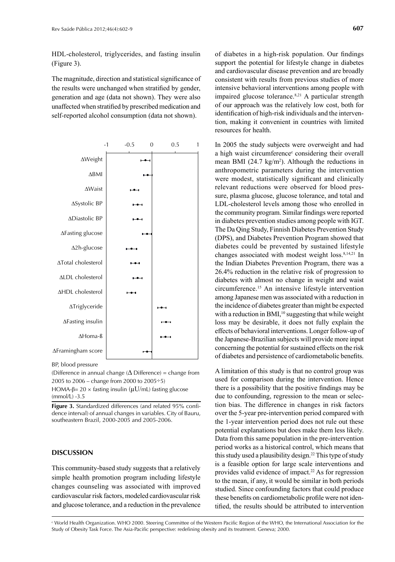HDL-cholesterol, triglycerides, and fasting insulin (Figure 3).

The magnitude, direction and statistical significance of the results were unchanged when stratified by gender. generation and age (data not shown). They were also unaffected when stratified by prescribed medication and self-reported alcohol consumption (data not shown).



BP, blood pressure

(Difference in annual change ( $\Delta$  Difference) = change from 2005 to 2006 – change from 2000 to 2005 $\div$ 5)

HOMA-β=  $20 \times$  fasting insulin ( $\mu$ U/mL) fasting glucose (mmol/L) -3.5

Figure 3. Standardized differences (and related 95% confidence interval) of annual changes in variables. City of Bauru, southeastern Brazil, 2000-2005 and 2005-2006.

#### **DISCUSSION**

This community-based study suggests that a relatively simple health promotion program including lifestyle changes counseling was associated with improved cardiovascular risk factors, modeled cardiovascular risk and glucose tolerance, and a reduction in the prevalence of diabetes in a high-risk population. Our findings support the potential for lifestyle change in diabetes and cardiovascular disease prevention and are broadly consistent with results from previous studies of more intensive behavioral interventions among people with impaired glucose tolerance. $8,21$  A particular strength of our approach was the relatively low cost, both for identification of high-risk individuals and the intervention, making it convenient in countries with limited resources for health.

In 2005 the study subjects were overweight and had a high waist circumference<sup>c</sup> considering their overall mean BMI  $(24.7 \text{ kg/m}^2)$ . Although the reductions in anthropometric parameters during the intervention were modest, statistically significant and clinically relevant reductions were observed for blood pressure, plasma glucose, glucose tolerance, and total and LDL-cholesterol levels among those who enrolled in the community program. Similar findings were reported in diabetes prevention studies among people with IGT. The Da Qing Study, Finnish Diabetes Prevention Study (DPS), and Diabetes Prevention Program showed that diabetes could be prevented by sustained lifestyle changes associated with modest weight loss.8,14,21 In the Indian Diabetes Prevention Program, there was a 26.4% reduction in the relative risk of progression to diabetes with almost no change in weight and waist circumference.15 An intensive lifestyle intervention among Japanese men was associated with a reduction in the incidence of diabetes greater than might be expected with a reduction in BMI, $10$  suggesting that while weight loss may be desirable, it does not fully explain the effects of behavioral interventions. Longer follow-up of the Japanese-Brazilian subjects will provide more input concerning the potential for sustained effects on the risk of diabetes and persistence of cardiometabolic benefits.

A limitation of this study is that no control group was used for comparison during the intervention. Hence there is a possibility that the positive findings may be due to confounding, regression to the mean or selection bias. The difference in changes in risk factors over the 5-year pre-intervention period compared with the 1-year intervention period does not rule out these potential explanations but does make them less likely. Data from this same population in the pre-intervention period works as a historical control, which means that this study used a plausibility design.22 This type of study is a feasible option for large scale interventions and provides valid evidence of impact.<sup>22</sup> As for regression to the mean, if any, it would be similar in both periods studied. Since confounding factors that could produce these benefits on cardiometabolic profile were not identified, the results should be attributed to intervention

 $^\mathrm{c}$  World Health Organization. WHO 2000. Steering Committee of the Western Pacific Region of the WHO, the International Association for the Study of Obesity Task Force. The Asia-Pacific perspective: redefining obesity and its treatment. Geneva; 2000.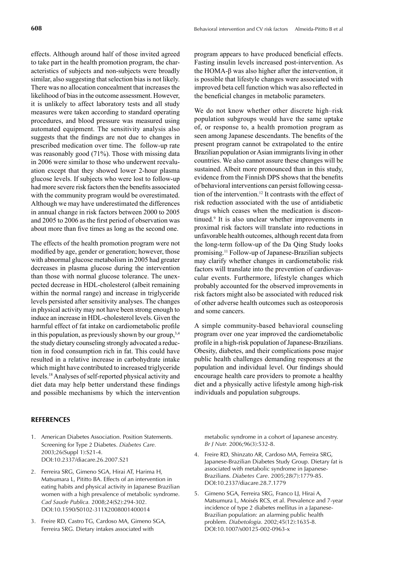effects. Although around half of those invited agreed to take part in the health promotion program, the characteristics of subjects and non-subjects were broadly similar, also suggesting that selection bias is not likely. There was no allocation concealment that increases the likelihood of bias in the outcome assessment. However, it is unlikely to affect laboratory tests and all study measures were taken according to standard operating procedures, and blood pressure was measured using automated equipment. The sensitivity analysis also suggests that the findings are not due to changes in prescribed medication over time. The follow-up rate was reasonably good (71%). Those with missing data in 2006 were similar to those who underwent reevaluation except that they showed lower 2-hour plasma glucose levels. If subjects who were lost to follow-up had more severe risk factors then the benefits associated with the community program would be overestimated. Although we may have underestimated the differences in annual change in risk factors between 2000 to 2005 and 2005 to 2006 as the first period of observation was about more than five times as long as the second one.

The effects of the health promotion program were not modified by age, gender or generation; however, those with abnormal glucose metabolism in 2005 had greater decreases in plasma glucose during the intervention than those with normal glucose tolerance. The unexpected decrease in HDL-cholesterol (albeit remaining within the normal range) and increase in triglyceride levels persisted after sensitivity analyses. The changes in physical activity may not have been strong enough to induce an increase in HDL-cholesterol levels. Given the harmful effect of fat intake on cardiometabolic profile in this population, as previously shown by our group,  $3,4$ the study dietary counseling strongly advocated a reduction in food consumption rich in fat. This could have resulted in a relative increase in carbohydrate intake which might have contributed to increased triglyceride levels.18 Analyses of self-reported physical activity and diet data may help better understand these findings and possible mechanisms by which the intervention

### program appears to have produced beneficial effects. Fasting insulin levels increased post-intervention. As the HOMA-β was also higher after the intervention, it is possible that lifestyle changes were associated with improved beta cell function which was also reflected in the beneficial changes in metabolic parameters.

We do not know whether other discrete high–risk population subgroups would have the same uptake of, or response to, a health promotion program as seen among Japanese descendants. The benefits of the present program cannot be extrapolated to the entire Brazilian population or Asian immigrants living in other countries. We also cannot assure these changes will be sustained. Albeit more pronounced than in this study, evidence from the Finnish DPS shows that the benefits of behavioral interventions can persist following cessation of the intervention.12 It contrasts with the effect of risk reduction associated with the use of antidiabetic drugs which ceases when the medication is discontinued.9 It is also unclear whether improvements in proximal risk factors will translate into reductions in unfavorable health outcomes, although recent data from the long-term follow-up of the Da Qing Study looks promising.11 Follow-up of Japanese-Brazilian subjects may clarify whether changes in cardiometabolic risk factors will translate into the prevention of cardiovascular events. Furthermore, lifestyle changes which probably accounted for the observed improvements in risk factors might also be associated with reduced risk of other adverse health outcomes such as osteoporosis and some cancers.

A simple community-based behavioral counseling program over one year improved the cardiometabolic profile in a high-risk population of Japanese-Brazilians. Obesity, diabetes, and their complications pose major public health challenges demanding responses at the population and individual level. Our findings should encourage health care providers to promote a healthy diet and a physically active lifestyle among high-risk individuals and population subgroups.

#### **REFERENCES**

- 1. American Diabetes Association. Position Statements. Screening for Type 2 Diabetes. *Diabetes Care.* 2003;26(Suppl 1):S21-4. DOI:10.2337/diacare.26.2007.S21
- 2. Ferreira SRG, Gimeno SGA, Hirai AT, Harima H, Matsumara L, Pititto BA. Effects of an intervention in eating habits and physical activity in Japanese Brazilian women with a high prevalence of metabolic syndrome. *Cad Saude Publica.* 2008;24(S2):294-302. DOI:10.1590/S0102-311X2008001400014
- 3. Freire RD, Castro TG, Cardoso MA, Gimeno SGA, Ferreira SRG. Dietary intakes associated with

metabolic syndrome in a cohort of Japanese ancestry. *Br J Nutr.* 2006;96(3):532-8.

- 4. Freire RD, Shinzato AR, Cardoso MA, Ferreira SRG, Japanese-Brazilian Diabetes Study Group. Dietary fat is associated with metabolic syndrome in Japanese-Brazilians. *Diabetes Care*. 2005;28(7):1779-85. DOI:10.2337/diacare.28.7.1779
- 5. Gimeno SGA, Ferreira SRG, Franco LJ, Hirai A, Matsumura L, Moisés RCS, et al. Prevalence and 7-year incidence of type 2 diabetes mellitus in a Japanese-Brazilian population: an alarming public health problem. *Diabetologia*. 2002;45(12):1635-8. DOI:10.1007/s00125-002-0963-x